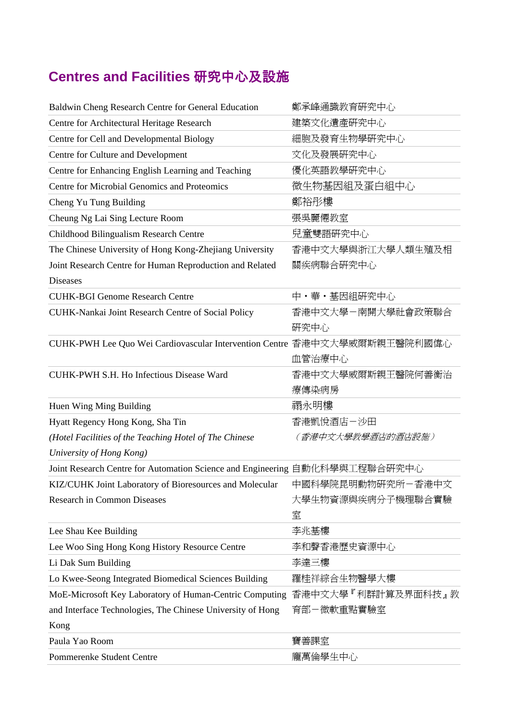## **Centres and Facilities** 研究中心及設施

| Baldwin Cheng Research Centre for General Education                         | 鄭承峰通識教育研究中心        |
|-----------------------------------------------------------------------------|--------------------|
| Centre for Architectural Heritage Research                                  | 建築文化遺產研究中心         |
| Centre for Cell and Developmental Biology                                   | 細胞及發育生物學研究中心       |
| Centre for Culture and Development                                          | 文化及發展研究中心          |
| Centre for Enhancing English Learning and Teaching                          | 優化英語教學研究中心         |
| Centre for Microbial Genomics and Proteomics                                | 微生物基因組及蛋白組中心       |
| Cheng Yu Tung Building                                                      | 鄭裕彤樓               |
| Cheung Ng Lai Sing Lecture Room                                             | 張吳麗僊教室             |
| Childhood Bilingualism Research Centre                                      | 兒童雙語硏究中心           |
| The Chinese University of Hong Kong-Zhejiang University                     | 香港中文大學與浙江大學人類生殖及相  |
| Joint Research Centre for Human Reproduction and Related                    | 關疾病聯合研究中心          |
| <b>Diseases</b>                                                             |                    |
| <b>CUHK-BGI Genome Research Centre</b>                                      | 中・華・基因組研究中心        |
| CUHK-Nankai Joint Research Centre of Social Policy                          | 香港中文大學-南開大學社會政策聯合  |
|                                                                             | 研究中心               |
| CUHK-PWH Lee Quo Wei Cardiovascular Intervention Centre 香港中文大學威爾斯親王醫院利國偉心   |                    |
|                                                                             | 血管治療中心             |
| CUHK-PWH S.H. Ho Infectious Disease Ward                                    | 香港中文大學威爾斯親王醫院何善衡治  |
|                                                                             | 療傳染病房              |
| Huen Wing Ming Building                                                     | 禤永明樓               |
| Hyatt Regency Hong Kong, Sha Tin                                            | 香港凱悅酒店-沙田          |
| (Hotel Facilities of the Teaching Hotel of The Chinese                      | (香港中文大學教學酒店的酒店設施)  |
| University of Hong Kong)                                                    |                    |
| Joint Research Centre for Automation Science and Engineering 自動化科學與工程聯合研究中心 |                    |
| KIZ/CUHK Joint Laboratory of Bioresources and Molecular 中國科學院昆明動物研究所一香港中文   |                    |
| <b>Research in Common Diseases</b>                                          | 大學生物資源與疾病分子機理聯合實驗  |
|                                                                             | 室                  |
| Lee Shau Kee Building                                                       | 李兆基樓               |
| Lee Woo Sing Hong Kong History Resource Centre                              | 李和聲香港歷史資源中心        |
| Li Dak Sum Building                                                         | 李達三樓               |
| Lo Kwee-Seong Integrated Biomedical Sciences Building                       | 羅桂祥綜合生物醫學大樓        |
| MoE-Microsoft Key Laboratory of Human-Centric Computing                     | 香港中文大學『利群計算及界面科技』教 |
| and Interface Technologies, The Chinese University of Hong                  | 育部-微軟重點實驗室         |
| Kong                                                                        |                    |
| Paula Yao Room                                                              | 寶善課室               |
| Pommerenke Student Centre                                                   | 龐萬倫學生中心            |